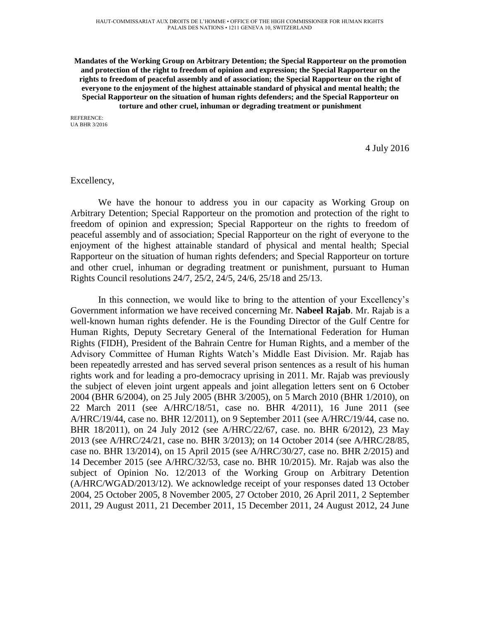**Mandates of the Working Group on Arbitrary Detention; the Special Rapporteur on the promotion and protection of the right to freedom of opinion and expression; the Special Rapporteur on the rights to freedom of peaceful assembly and of association; the Special Rapporteur on the right of everyone to the enjoyment of the highest attainable standard of physical and mental health; the Special Rapporteur on the situation of human rights defenders; and the Special Rapporteur on torture and other cruel, inhuman or degrading treatment or punishment**

REFERENCE: UA BHR 3/2016

4 July 2016

## Excellency,

We have the honour to address you in our capacity as Working Group on Arbitrary Detention; Special Rapporteur on the promotion and protection of the right to freedom of opinion and expression; Special Rapporteur on the rights to freedom of peaceful assembly and of association; Special Rapporteur on the right of everyone to the enjoyment of the highest attainable standard of physical and mental health; Special Rapporteur on the situation of human rights defenders; and Special Rapporteur on torture and other cruel, inhuman or degrading treatment or punishment, pursuant to Human Rights Council resolutions 24/7, 25/2, 24/5, 24/6, 25/18 and 25/13.

In this connection, we would like to bring to the attention of your Excellency's Government information we have received concerning Mr. **Nabeel Rajab**. Mr. Rajab is a well-known human rights defender. He is the Founding Director of the Gulf Centre for Human Rights, Deputy Secretary General of the International Federation for Human Rights (FIDH), President of the Bahrain Centre for Human Rights, and a member of the Advisory Committee of Human Rights Watch's Middle East Division. Mr. Rajab has been repeatedly arrested and has served several prison sentences as a result of his human rights work and for leading a pro-democracy uprising in 2011. Mr. Rajab was previously the subject of eleven joint urgent appeals and joint allegation letters sent on 6 October 2004 (BHR 6/2004), on 25 July 2005 (BHR 3/2005), on 5 March 2010 (BHR 1/2010), on 22 March 2011 (see A/HRC/18/51, case no. BHR 4/2011), 16 June 2011 (see A/HRC/19/44, case no. BHR 12/2011), on 9 September 2011 (see A/HRC/19/44, case no. BHR 18/2011), on 24 July 2012 (see A/HRC/22/67, case. no. BHR 6/2012), 23 May 2013 (see A/HRC/24/21, case no. BHR 3/2013); on 14 October 2014 (see A/HRC/28/85, case no. BHR 13/2014), on 15 April 2015 (see A/HRC/30/27, case no. BHR 2/2015) and 14 December 2015 (see A/HRC/32/53, case no. BHR 10/2015). Mr. Rajab was also the subject of Opinion No. 12/2013 of the Working Group on Arbitrary Detention (A/HRC/WGAD/2013/12). We acknowledge receipt of your responses dated 13 October 2004, 25 October 2005, 8 November 2005, 27 October 2010, 26 April 2011, 2 September 2011, 29 August 2011, 21 December 2011, 15 December 2011, 24 August 2012, 24 June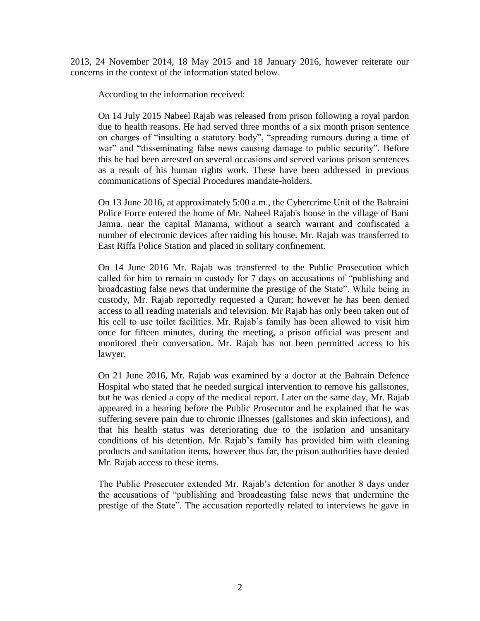2013, 24 November 2014, 18 May 2015 and 18 January 2016, however reiterate our concerns in the context of the information stated below.

According to the information received:

On 14 July 2015 Nabeel Rajab was released from prison following a royal pardon due to health reasons. He had served three months of a six month prison sentence on charges of "insulting a statutory body", "spreading rumours during a time of war" and "disseminating false news causing damage to public security". Before this he had been arrested on several occasions and served various prison sentences as a result of his human rights work. These have been addressed in previous communications of Special Procedures mandate-holders.

On 13 June 2016, at approximately 5:00 a.m., the Cybercrime Unit of the Bahraini Police Force entered the home of Mr. Nabeel Rajab's house in the village of Bani Jamra, near the capital Manama, without a search warrant and confiscated a number of electronic devices after raiding his house. Mr. Rajab was transferred to East Riffa Police Station and placed in solitary confinement.

On 14 June 2016 Mr. Rajab was transferred to the Public Prosecution which called for him to remain in custody for 7 days on accusations of "publishing and broadcasting false news that undermine the prestige of the State". While being in custody, Mr. Rajab reportedly requested a Quran; however he has been denied access to all reading materials and television. Mr Rajab has only been taken out of his cell to use toilet facilities. Mr. Rajab's family has been allowed to visit him once for fifteen minutes, during the meeting, a prison official was present and monitored their conversation. Mr. Rajab has not been permitted access to his lawyer.

On 21 June 2016, Mr. Rajab was examined by a doctor at the Bahrain Defence Hospital who stated that he needed surgical intervention to remove his gallstones, but he was denied a copy of the medical report. Later on the same day, Mr. Rajab appeared in a hearing before the Public Prosecutor and he explained that he was suffering severe pain due to chronic illnesses (gallstones and skin infections), and that his health status was deteriorating due to the isolation and unsanitary conditions of his detention. Mr. Rajab's family has provided him with cleaning products and sanitation items, however thus far, the prison authorities have denied Mr. Rajab access to these items.

The Public Prosecutor extended Mr. Rajab's detention for another 8 days under the accusations of "publishing and broadcasting false news that undermine the prestige of the State". The accusation reportedly related to interviews he gave in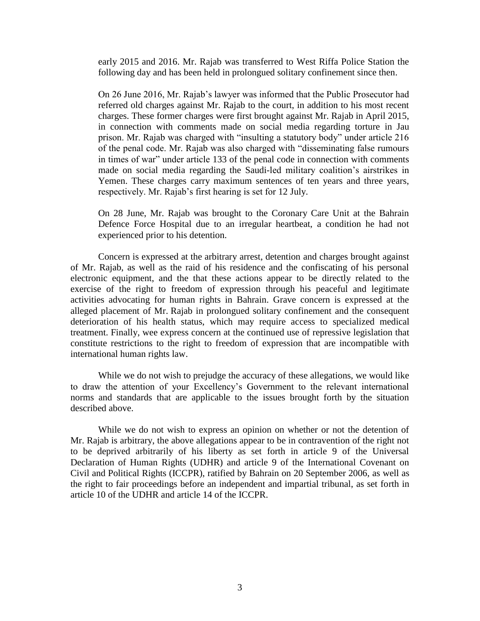early 2015 and 2016. Mr. Rajab was transferred to West Riffa Police Station the following day and has been held in prolongued solitary confinement since then.

On 26 June 2016, Mr. Rajab's lawyer was informed that the Public Prosecutor had referred old charges against Mr. Rajab to the court, in addition to his most recent charges. These former charges were first brought against Mr. Rajab in April 2015, in connection with comments made on social media regarding torture in Jau prison. Mr. Rajab was charged with "insulting a statutory body" under article 216 of the penal code. Mr. Rajab was also charged with "disseminating false rumours in times of war" under article 133 of the penal code in connection with comments made on social media regarding the Saudi-led military coalition's airstrikes in Yemen. These charges carry maximum sentences of ten years and three years, respectively. Mr. Rajab's first hearing is set for 12 July.

On 28 June, Mr. Rajab was brought to the Coronary Care Unit at the Bahrain Defence Force Hospital due to an irregular heartbeat, a condition he had not experienced prior to his detention.

Concern is expressed at the arbitrary arrest, detention and charges brought against of Mr. Rajab, as well as the raid of his residence and the confiscating of his personal electronic equipment, and the that these actions appear to be directly related to the exercise of the right to freedom of expression through his peaceful and legitimate activities advocating for human rights in Bahrain. Grave concern is expressed at the alleged placement of Mr. Rajab in prolongued solitary confinement and the consequent deterioration of his health status, which may require access to specialized medical treatment. Finally, wee express concern at the continued use of repressive legislation that constitute restrictions to the right to freedom of expression that are incompatible with international human rights law.

While we do not wish to prejudge the accuracy of these allegations, we would like to draw the attention of your Excellency's Government to the relevant international norms and standards that are applicable to the issues brought forth by the situation described above.

While we do not wish to express an opinion on whether or not the detention of Mr. Rajab is arbitrary, the above allegations appear to be in contravention of the right not to be deprived arbitrarily of his liberty as set forth in article 9 of the Universal Declaration of Human Rights (UDHR) and article 9 of the International Covenant on Civil and Political Rights (ICCPR), ratified by Bahrain on 20 September 2006, as well as the right to fair proceedings before an independent and impartial tribunal, as set forth in article 10 of the UDHR and article 14 of the ICCPR.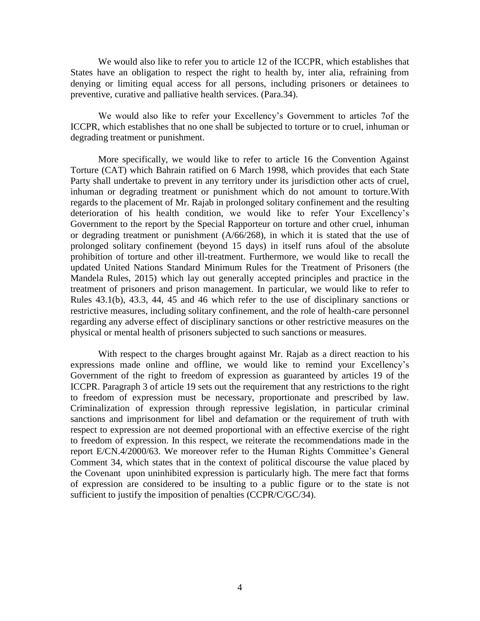We would also like to refer you to article 12 of the ICCPR, which establishes that States have an obligation to respect the right to health by, inter alia, refraining from denying or limiting equal access for all persons, including prisoners or detainees to preventive, curative and palliative health services. (Para.34).

We would also like to refer your Excellency's Government to articles 7of the ICCPR, which establishes that no one shall be subjected to torture or to cruel, inhuman or degrading treatment or punishment.

More specifically, we would like to refer to article 16 the Convention Against Torture (CAT) which Bahrain ratified on 6 March 1998, which provides that each State Party shall undertake to prevent in any territory under its jurisdiction other acts of cruel, inhuman or degrading treatment or punishment which do not amount to torture.With regards to the placement of Mr. Rajab in prolonged solitary confinement and the resulting deterioration of his health condition, we would like to refer Your Excellency's Government to the report by the Special Rapporteur on torture and other cruel, inhuman or degrading treatment or punishment (A/66/268), in which it is stated that the use of prolonged solitary confinement (beyond 15 days) in itself runs afoul of the absolute prohibition of torture and other ill-treatment. Furthermore, we would like to recall the updated United Nations Standard Minimum Rules for the Treatment of Prisoners (the Mandela Rules, 2015) which lay out generally accepted principles and practice in the treatment of prisoners and prison management. In particular, we would like to refer to Rules 43.1(b), 43.3, 44, 45 and 46 which refer to the use of disciplinary sanctions or restrictive measures, including solitary confinement, and the role of health-care personnel regarding any adverse effect of disciplinary sanctions or other restrictive measures on the physical or mental health of prisoners subjected to such sanctions or measures.

With respect to the charges brought against Mr. Rajab as a direct reaction to his expressions made online and offline, we would like to remind your Excellency's Government of the right to freedom of expression as guaranteed by articles 19 of the ICCPR. Paragraph 3 of article 19 sets out the requirement that any restrictions to the right to freedom of expression must be necessary, proportionate and prescribed by law. Criminalization of expression through repressive legislation, in particular criminal sanctions and imprisonment for libel and defamation or the requirement of truth with respect to expression are not deemed proportional with an effective exercise of the right to freedom of expression. In this respect, we reiterate the recommendations made in the report E/CN.4/2000/63. We moreover refer to the Human Rights Committee's General Comment 34, which states that in the context of political discourse the value placed by the Covenant upon uninhibited expression is particularly high. The mere fact that forms of expression are considered to be insulting to a public figure or to the state is not sufficient to justify the imposition of penalties (CCPR/C/GC/34).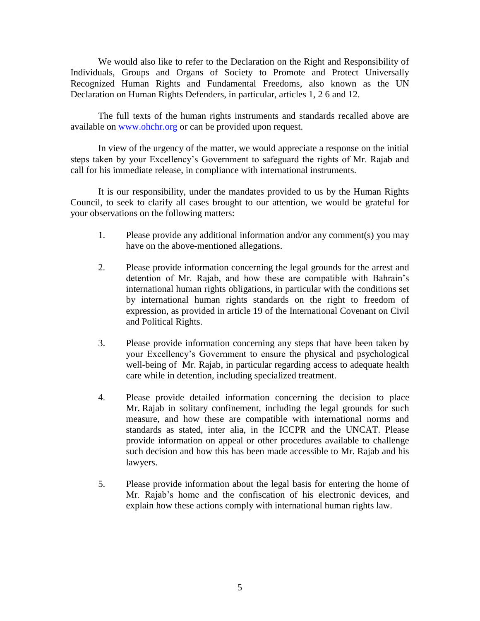We would also like to refer to the Declaration on the Right and Responsibility of Individuals, Groups and Organs of Society to Promote and Protect Universally Recognized Human Rights and Fundamental Freedoms, also known as the UN Declaration on Human Rights Defenders, in particular, articles 1, 2 6 and 12.

The full texts of the human rights instruments and standards recalled above are available on [www.ohchr.org](http://www.ohchr.org/) or can be provided upon request.

In view of the urgency of the matter, we would appreciate a response on the initial steps taken by your Excellency's Government to safeguard the rights of Mr. Rajab and call for his immediate release, in compliance with international instruments.

It is our responsibility, under the mandates provided to us by the Human Rights Council, to seek to clarify all cases brought to our attention, we would be grateful for your observations on the following matters:

- 1. Please provide any additional information and/or any comment(s) you may have on the above-mentioned allegations.
- 2. Please provide information concerning the legal grounds for the arrest and detention of Mr. Rajab, and how these are compatible with Bahrain's international human rights obligations, in particular with the conditions set by international human rights standards on the right to freedom of expression, as provided in article 19 of the International Covenant on Civil and Political Rights.
- 3. Please provide information concerning any steps that have been taken by your Excellency's Government to ensure the physical and psychological well-being of Mr. Rajab, in particular regarding access to adequate health care while in detention, including specialized treatment.
- 4. Please provide detailed information concerning the decision to place Mr. Rajab in solitary confinement, including the legal grounds for such measure, and how these are compatible with international norms and standards as stated, inter alia, in the ICCPR and the UNCAT. Please provide information on appeal or other procedures available to challenge such decision and how this has been made accessible to Mr. Rajab and his lawyers.
- 5. Please provide information about the legal basis for entering the home of Mr. Rajab's home and the confiscation of his electronic devices, and explain how these actions comply with international human rights law.